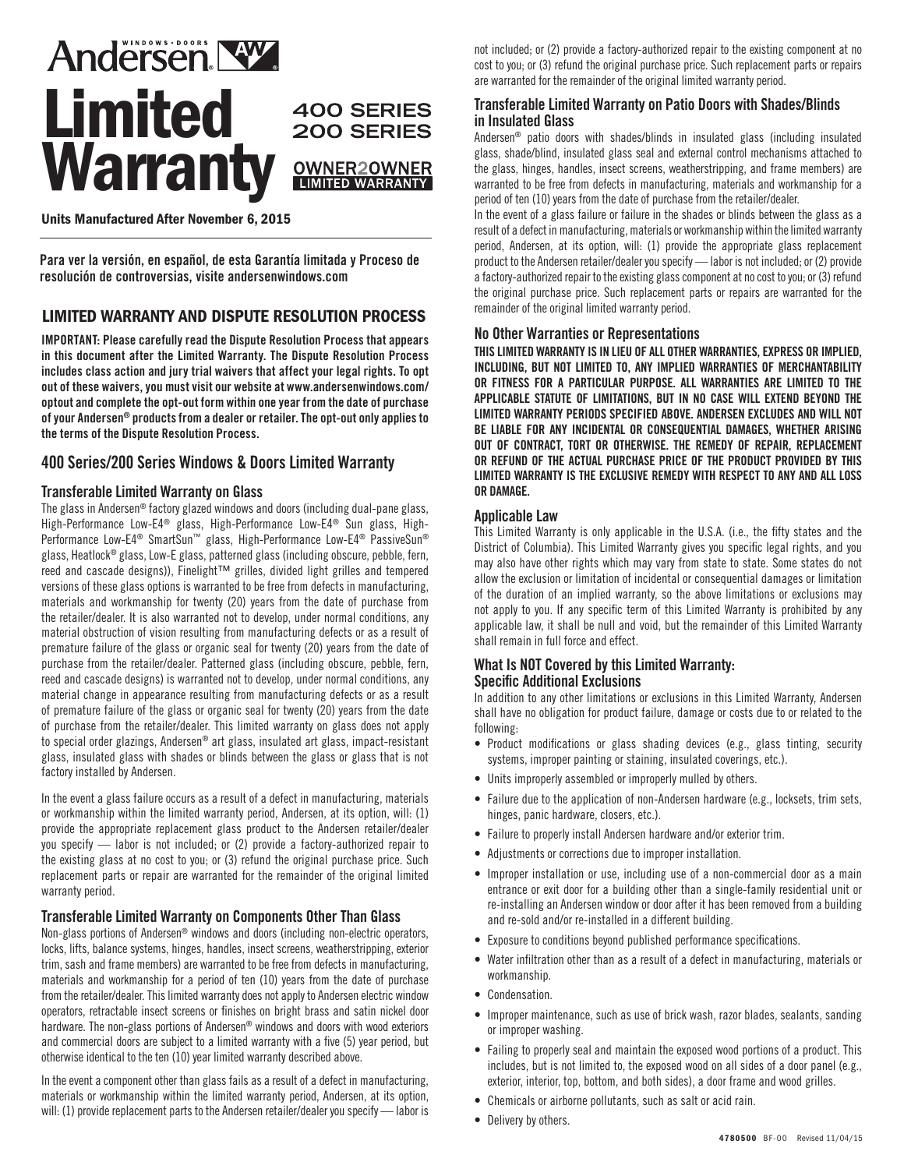

### Units Manufactured After November 6, 2015

**Para ver la versión, en español, de esta Garantía limitada y Proceso de resolución de controversias, visite andersenwindows.com**

# LIMITED WARRANTY AND DISPUTE RESOLUTION PROCESS

IMPORTANT: Please carefully read the Dispute Resolution Process that appears in this document after the Limited Warranty. The Dispute Resolution Process includes class action and jury trial waivers that affect your legal rights. To opt out of these waivers, you must visit our website at www.andersenwindows.com/ optout and complete the opt-out form within one year from the date of purchase of your Andersen® products from a dealer or retailer. The opt-out only applies to the terms of the Dispute Resolution Process.

## 400 Series/200 Series Windows & Doors Limited Warranty

#### Transferable Limited Warranty on Glass

The glass in Andersen® factory glazed windows and doors (including dual-pane glass, High-Performance Low-E4® glass, High-Performance Low-E4® Sun glass, High-Performance Low-E4<sup>®</sup> SmartSun™ glass, High-Performance Low-E4<sup>®</sup> PassiveSun® glass, Heatlock® glass, Low-E glass, patterned glass (including obscure, pebble, fern, reed and cascade designs)), Finelight™ grilles, divided light grilles and tempered versions of these glass options is warranted to be free from defects in manufacturing, materials and workmanship for twenty (20) years from the date of purchase from the retailer/dealer. It is also warranted not to develop, under normal conditions, any material obstruction of vision resulting from manufacturing defects or as a result of premature failure of the glass or organic seal for twenty (20) years from the date of purchase from the retailer/dealer. Patterned glass (including obscure, pebble, fern, reed and cascade designs) is warranted not to develop, under normal conditions, any material change in appearance resulting from manufacturing defects or as a result of premature failure of the glass or organic seal for twenty (20) years from the date of purchase from the retailer/dealer. This limited warranty on glass does not apply to special order glazings, Andersen® art glass, insulated art glass, impact-resistant glass, insulated glass with shades or blinds between the glass or glass that is not factory installed by Andersen.

In the event a glass failure occurs as a result of a defect in manufacturing, materials or workmanship within the limited warranty period, Andersen, at its option, will: (1) provide the appropriate replacement glass product to the Andersen retailer/dealer you specify — labor is not included; or (2) provide a factory-authorized repair to the existing glass at no cost to you; or (3) refund the original purchase price. Such replacement parts or repair are warranted for the remainder of the original limited warranty period.

### Transferable Limited Warranty on Components Other Than Glass

Non-glass portions of Andersen® windows and doors (including non-electric operators, locks, lifts, balance systems, hinges, handles, insect screens, weatherstripping, exterior trim, sash and frame members) are warranted to be free from defects in manufacturing, materials and workmanship for a period of ten (10) years from the date of purchase from the retailer/dealer. This limited warranty does not apply to Andersen electric window operators, retractable insect screens or finishes on bright brass and satin nickel door hardware. The non-glass portions of Andersen® windows and doors with wood exteriors and commercial doors are subject to a limited warranty with a five (5) year period, but otherwise identical to the ten (10) year limited warranty described above.

In the event a component other than glass fails as a result of a defect in manufacturing, materials or workmanship within the limited warranty period, Andersen, at its option, will: (1) provide replacement parts to the Andersen retailer/dealer you specify — labor is

not included; or (2) provide a factory-authorized repair to the existing component at no cost to you; or (3) refund the original purchase price. Such replacement parts or repairs are warranted for the remainder of the original limited warranty period.

#### Transferable Limited Warranty on Patio Doors with Shades/Blinds in Insulated Glass

Andersen® patio doors with shades/blinds in insulated glass (including insulated glass, shade/blind, insulated glass seal and external control mechanisms attached to the glass, hinges, handles, insect screens, weatherstripping, and frame members) are warranted to be free from defects in manufacturing, materials and workmanship for a period of ten (10) years from the date of purchase from the retailer/dealer.

In the event of a glass failure or failure in the shades or blinds between the glass as a result of a defect in manufacturing, materials or workmanship within the limited warranty period, Andersen, at its option, will: (1) provide the appropriate glass replacement product to the Andersen retailer/dealer you specify — labor is not included; or (2) provide a factory-authorized repair to the existing glass component at no cost to you; or (3) refund the original purchase price. Such replacement parts or repairs are warranted for the remainder of the original limited warranty period.

#### No Other Warranties or Representations

THIS LIMITED WARRANTY IS IN LIEU OF ALL OTHER WARRANTIES, EXPRESS OR IMPLIED, INCLUDING, BUT NOT LIMITED TO, ANY IMPLIED WARRANTIES OF MERCHANTABILITY OR FITNESS FOR A PARTICULAR PURPOSE. ALL WARRANTIES ARE LIMITED TO THE APPLICABLE STATUTE OF LIMITATIONS, BUT IN NO CASE WILL EXTEND BEYOND THE LIMITED WARRANTY PERIODS SPECIFIED ABOVE. ANDERSEN EXCLUDES AND WILL NOT BE LIABLE FOR ANY INCIDENTAL OR CONSEQUENTIAL DAMAGES, WHETHER ARISING OUT OF CONTRACT, TORT OR OTHERWISE. THE REMEDY OF REPAIR, REPLACEMENT OR REFUND OF THE ACTUAL PURCHASE PRICE OF THE PRODUCT PROVIDED BY THIS LIMITED WARRANTY IS THE EXCLUSIVE REMEDY WITH RESPECT TO ANY AND ALL LOSS OR DAMAGE.

#### Applicable Law

This Limited Warranty is only applicable in the U.S.A. (i.e., the fifty states and the District of Columbia). This Limited Warranty gives you specific legal rights, and you may also have other rights which may vary from state to state. Some states do not allow the exclusion or limitation of incidental or consequential damages or limitation of the duration of an implied warranty, so the above limitations or exclusions may not apply to you. If any specific term of this Limited Warranty is prohibited by any applicable law, it shall be null and void, but the remainder of this Limited Warranty shall remain in full force and effect.

#### What Is NOT Covered by this Limited Warranty: Specific Additional Exclusions

In addition to any other limitations or exclusions in this Limited Warranty, Andersen shall have no obligation for product failure, damage or costs due to or related to the following:

- Product modifications or glass shading devices (e.g., glass tinting, security systems, improper painting or staining, insulated coverings, etc.).
- Units improperly assembled or improperly mulled by others.
- Failure due to the application of non-Andersen hardware (e.g., locksets, trim sets, hinges, panic hardware, closers, etc.).
- Failure to properly install Andersen hardware and/or exterior trim.
- Adjustments or corrections due to improper installation.
- Improper installation or use, including use of a non-commercial door as a main entrance or exit door for a building other than a single-family residential unit or re-installing an Andersen window or door after it has been removed from a building and re-sold and/or re-installed in a different building.
- Exposure to conditions beyond published performance specifications.
- Water infiltration other than as a result of a defect in manufacturing, materials or workmanship.
- Condensation.
- Improper maintenance, such as use of brick wash, razor blades, sealants, sanding or improper washing.
- Failing to properly seal and maintain the exposed wood portions of a product. This includes, but is not limited to, the exposed wood on all sides of a door panel (e.g., exterior, interior, top, bottom, and both sides), a door frame and wood grilles.
- Chemicals or airborne pollutants, such as salt or acid rain.
- Delivery by others.